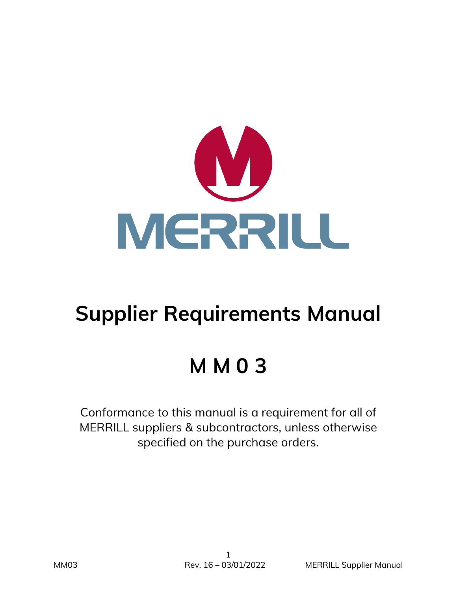

# **Supplier Requirements Manual**

# **M M 0 3**

Conformance to this manual is a requirement for all of MERRILL suppliers & subcontractors, unless otherwise specified on the purchase orders.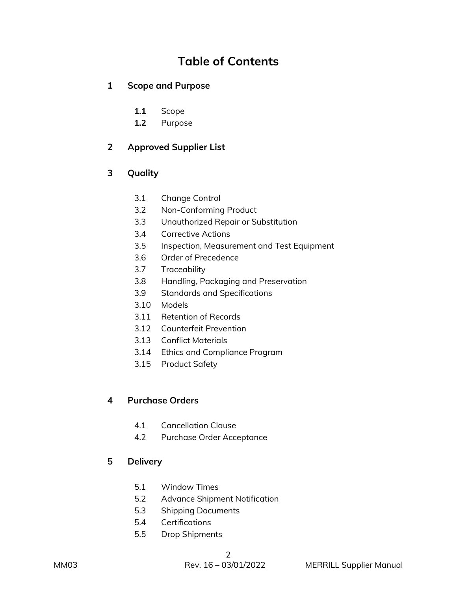# **Table of Contents**

# **1 Scope and Purpose**

- **1.1** Scope
- **1.2** Purpose

# **2 Approved Supplier List**

# **3 Quality**

- 3.1 Change Control
- 3.2 Non-Conforming Product
- 3.3 Unauthorized Repair or Substitution
- 3.4 Corrective Actions
- 3.5 Inspection, Measurement and Test Equipment
- 3.6 Order of Precedence
- 3.7 Traceability
- 3.8 Handling, Packaging and Preservation
- 3.9 Standards and Specifications
- 3.10 Models
- 3.11 Retention of Records
- 3.12 Counterfeit Prevention
- 3.13 Conflict Materials
- 3.14 Ethics and Compliance Program
- 3.15 Product Safety

# **4 Purchase Orders**

- 4.1 Cancellation Clause
- 4.2 Purchase Order Acceptance

#### **5 Delivery**

- 5.1 Window Times
- 5.2 Advance Shipment Notification
- 5.3 Shipping Documents
- 5.4 Certifications
- 5.5 Drop Shipments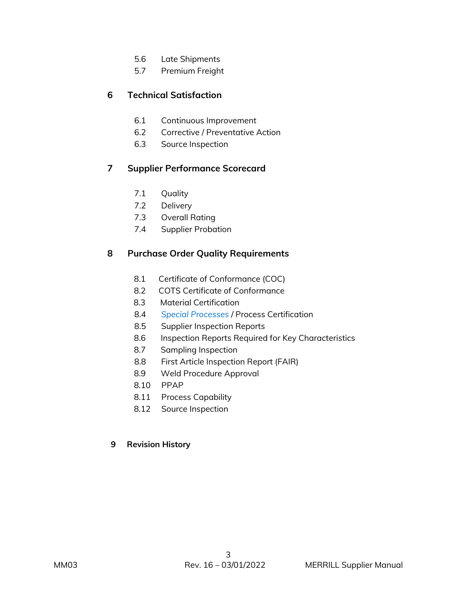- 5.6 Late Shipments
- 5.7 Premium Freight

# **6 Technical Satisfaction**

- 6.1 Continuous Improvement
- 6.2 Corrective / Preventative Action
- 6.3 Source Inspection

# **7 Supplier Performance Scorecard**

- 7.1 Quality
- 7.2 Delivery
- 7.3 Overall Rating
- 7.4 Supplier Probation

# **8 Purchase Order Quality Requirements**

- 8.1 Certificate of Conformance (COC)
- 8.2 COTS Certificate of Conformance
- 8.3 Material Certification
- 8.4 *Special Processes* / Process Certification
- 8.5 Supplier Inspection Reports
- 8.6 Inspection Reports Required for Key Characteristics
- 8.7 Sampling Inspection
- 8.8 First Article Inspection Report (FAIR)
- 8.9 Weld Procedure Approval
- 8.10 PPAP
- 8.11 Process Capability
- 8.12 Source Inspection

#### **9 Revision History**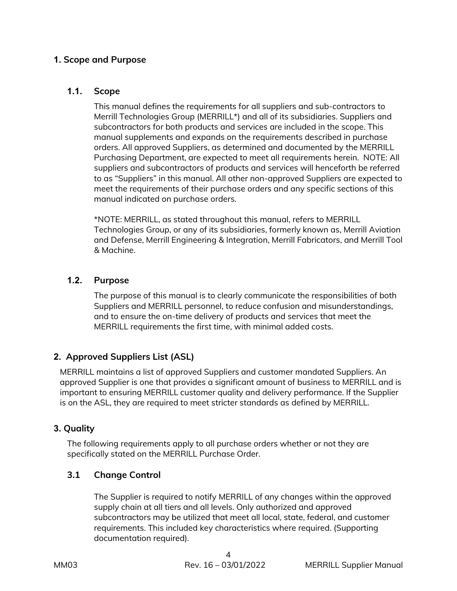# **1. Scope and Purpose**

#### **1.1. Scope**

This manual defines the requirements for all suppliers and sub-contractors to Merrill Technologies Group (MERRILL\*) and all of its subsidiaries. Suppliers and subcontractors for both products and services are included in the scope. This manual supplements and expands on the requirements described in purchase orders. All approved Suppliers, as determined and documented by the MERRILL Purchasing Department, are expected to meet all requirements herein. NOTE: All suppliers and subcontractors of products and services will henceforth be referred to as "Suppliers" in this manual. All other non-approved Suppliers are expected to meet the requirements of their purchase orders and any specific sections of this manual indicated on purchase orders.

\*NOTE: MERRILL, as stated throughout this manual, refers to MERRILL Technologies Group, or any of its subsidiaries, formerly known as, Merrill Aviation and Defense, Merrill Engineering & Integration, Merrill Fabricators, and Merrill Tool & Machine.

#### **1.2. Purpose**

The purpose of this manual is to clearly communicate the responsibilities of both Suppliers and MERRILL personnel, to reduce confusion and misunderstandings, and to ensure the on-time delivery of products and services that meet the MERRILL requirements the first time, with minimal added costs.

# **2. Approved Suppliers List (ASL)**

MERRILL maintains a list of approved Suppliers and customer mandated Suppliers. An approved Supplier is one that provides a significant amount of business to MERRILL and is important to ensuring MERRILL customer quality and delivery performance. If the Supplier is on the ASL, they are required to meet stricter standards as defined by MERRILL.

#### **3. Quality**

The following requirements apply to all purchase orders whether or not they are specifically stated on the MERRILL Purchase Order.

#### **3.1 Change Control**

The Supplier is required to notify MERRILL of any changes within the approved supply chain at all tiers and all levels. Only authorized and approved subcontractors may be utilized that meet all local, state, federal, and customer requirements. This included key characteristics where required. (Supporting documentation required).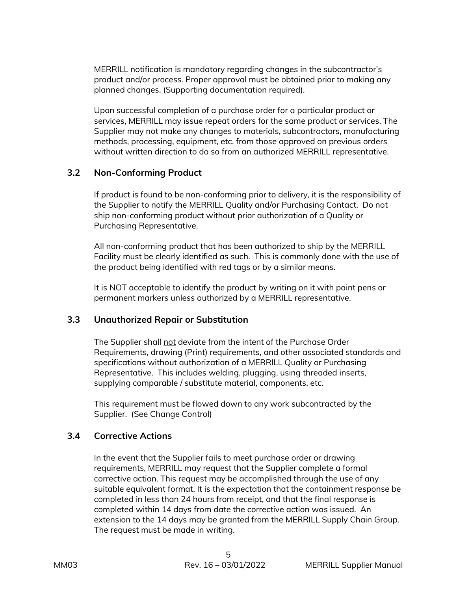MERRILL notification is mandatory regarding changes in the subcontractor's product and/or process. Proper approval must be obtained prior to making any planned changes. (Supporting documentation required).

Upon successful completion of a purchase order for a particular product or services, MERRILL may issue repeat orders for the same product or services. The Supplier may not make any changes to materials, subcontractors, manufacturing methods, processing, equipment, etc. from those approved on previous orders without written direction to do so from an authorized MERRILL representative.

#### **3.2 Non-Conforming Product**

If product is found to be non-conforming prior to delivery, it is the responsibility of the Supplier to notify the MERRILL Quality and/or Purchasing Contact. Do not ship non-conforming product without prior authorization of a Quality or Purchasing Representative.

All non-conforming product that has been authorized to ship by the MERRILL Facility must be clearly identified as such. This is commonly done with the use of the product being identified with red tags or by a similar means.

It is NOT acceptable to identify the product by writing on it with paint pens or permanent markers unless authorized by a MERRILL representative.

#### **3.3 Unauthorized Repair or Substitution**

The Supplier shall not deviate from the intent of the Purchase Order Requirements, drawing (Print) requirements, and other associated standards and specifications without authorization of a MERRILL Quality or Purchasing Representative. This includes welding, plugging, using threaded inserts, supplying comparable / substitute material, components, etc.

This requirement must be flowed down to any work subcontracted by the Supplier. (See Change Control)

# **3.4 Corrective Actions**

In the event that the Supplier fails to meet purchase order or drawing requirements, MERRILL may request that the Supplier complete a formal corrective action. This request may be accomplished through the use of any suitable equivalent format. It is the expectation that the containment response be completed in less than 24 hours from receipt, and that the final response is completed within 14 days from date the corrective action was issued. An extension to the 14 days may be granted from the MERRILL Supply Chain Group. The request must be made in writing.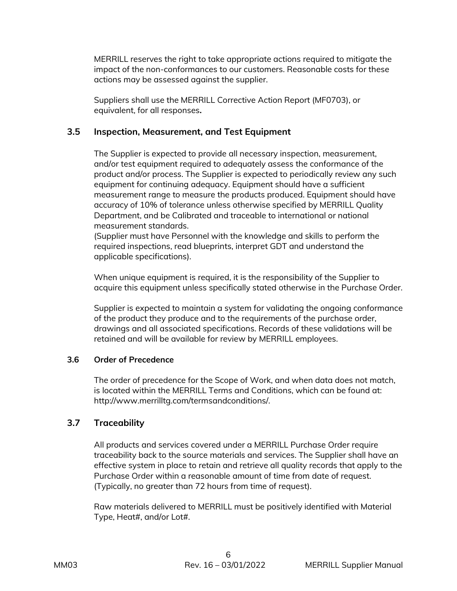MERRILL reserves the right to take appropriate actions required to mitigate the impact of the non-conformances to our customers. Reasonable costs for these actions may be assessed against the supplier.

Suppliers shall use the MERRILL Corrective Action Report (MF0703), or equivalent, for all responses**.** 

# **3.5 Inspection, Measurement, and Test Equipment**

The Supplier is expected to provide all necessary inspection, measurement, and/or test equipment required to adequately assess the conformance of the product and/or process. The Supplier is expected to periodically review any such equipment for continuing adequacy. Equipment should have a sufficient measurement range to measure the products produced. Equipment should have accuracy of 10% of tolerance unless otherwise specified by MERRILL Quality Department, and be Calibrated and traceable to international or national measurement standards.

(Supplier must have Personnel with the knowledge and skills to perform the required inspections, read blueprints, interpret GDT and understand the applicable specifications).

When unique equipment is required, it is the responsibility of the Supplier to acquire this equipment unless specifically stated otherwise in the Purchase Order.

Supplier is expected to maintain a system for validating the ongoing conformance of the product they produce and to the requirements of the purchase order, drawings and all associated specifications. Records of these validations will be retained and will be available for review by MERRILL employees.

#### **3.6 Order of Precedence**

The order of precedence for the Scope of Work, and when data does not match, is located within the MERRILL Terms and Conditions, which can be found at: http://www.merrilltg.com/termsandconditions/.

# **3.7 Traceability**

All products and services covered under a MERRILL Purchase Order require traceability back to the source materials and services. The Supplier shall have an effective system in place to retain and retrieve all quality records that apply to the Purchase Order within a reasonable amount of time from date of request. (Typically, no greater than 72 hours from time of request).

Raw materials delivered to MERRILL must be positively identified with Material Type, Heat#, and/or Lot#.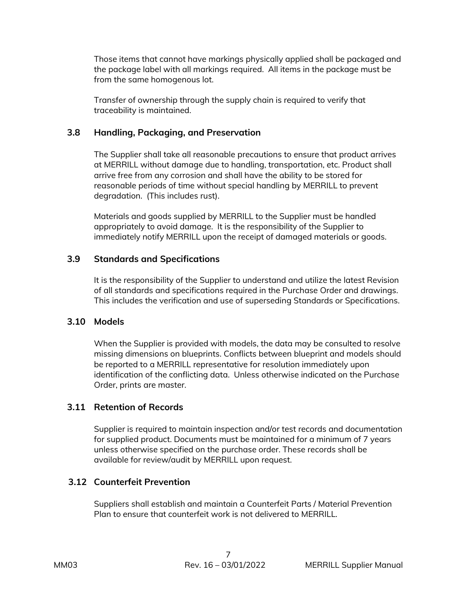Those items that cannot have markings physically applied shall be packaged and the package label with all markings required. All items in the package must be from the same homogenous lot.

Transfer of ownership through the supply chain is required to verify that traceability is maintained.

# **3.8 Handling, Packaging, and Preservation**

The Supplier shall take all reasonable precautions to ensure that product arrives at MERRILL without damage due to handling, transportation, etc. Product shall arrive free from any corrosion and shall have the ability to be stored for reasonable periods of time without special handling by MERRILL to prevent degradation. (This includes rust).

Materials and goods supplied by MERRILL to the Supplier must be handled appropriately to avoid damage. It is the responsibility of the Supplier to immediately notify MERRILL upon the receipt of damaged materials or goods.

# **3.9 Standards and Specifications**

It is the responsibility of the Supplier to understand and utilize the latest Revision of all standards and specifications required in the Purchase Order and drawings. This includes the verification and use of superseding Standards or Specifications.

#### **3.10 Models**

When the Supplier is provided with models, the data may be consulted to resolve missing dimensions on blueprints. Conflicts between blueprint and models should be reported to a MERRILL representative for resolution immediately upon identification of the conflicting data. Unless otherwise indicated on the Purchase Order, prints are master.

# **3.11 Retention of Records**

Supplier is required to maintain inspection and/or test records and documentation for supplied product. Documents must be maintained for a minimum of 7 years unless otherwise specified on the purchase order. These records shall be available for review/audit by MERRILL upon request.

# **3.12 Counterfeit Prevention**

Suppliers shall establish and maintain a Counterfeit Parts / Material Prevention Plan to ensure that counterfeit work is not delivered to MERRILL.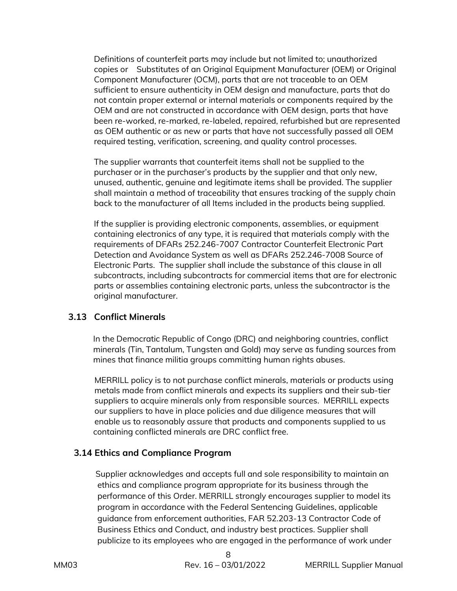Definitions of counterfeit parts may include but not limited to; unauthorized copies or Substitutes of an Original Equipment Manufacturer (OEM) or Original Component Manufacturer (OCM), parts that are not traceable to an OEM sufficient to ensure authenticity in OEM design and manufacture, parts that do not contain proper external or internal materials or components required by the OEM and are not constructed in accordance with OEM design, parts that have been re-worked, re-marked, re-labeled, repaired, refurbished but are represented as OEM authentic or as new or parts that have not successfully passed all OEM required testing, verification, screening, and quality control processes.

The supplier warrants that counterfeit items shall not be supplied to the purchaser or in the purchaser's products by the supplier and that only new, unused, authentic, genuine and legitimate items shall be provided. The supplier shall maintain a method of traceability that ensures tracking of the supply chain back to the manufacturer of all Items included in the products being supplied.

If the supplier is providing electronic components, assemblies, or equipment containing electronics of any type, it is required that materials comply with the requirements of DFARs 252.246-7007 Contractor Counterfeit Electronic Part Detection and Avoidance System as well as DFARs 252.246-7008 Source of Electronic Parts. The supplier shall include the substance of this clause in all subcontracts, including subcontracts for commercial items that are for electronic parts or assemblies containing electronic parts, unless the subcontractor is the original manufacturer.

#### **3.13 Conflict Minerals**

 In the Democratic Republic of Congo (DRC) and neighboring countries, conflict minerals (Tin, Tantalum, Tungsten and Gold) may serve as funding sources from mines that finance militia groups committing human rights abuses.

MERRILL policy is to not purchase conflict minerals, materials or products using metals made from conflict minerals and expects its suppliers and their sub-tier suppliers to acquire minerals only from responsible sources. MERRILL expects our suppliers to have in place policies and due diligence measures that will enable us to reasonably assure that products and components supplied to us containing conflicted minerals are DRC conflict free.

# **3.14 Ethics and Compliance Program**

 Supplier acknowledges and accepts full and sole responsibility to maintain an ethics and compliance program appropriate for its business through the performance of this Order. MERRILL strongly encourages supplier to model its program in accordance with the Federal Sentencing Guidelines, applicable guidance from enforcement authorities, FAR 52.203-13 Contractor Code of Business Ethics and Conduct, and industry best practices. Supplier shall publicize to its employees who are engaged in the performance of work under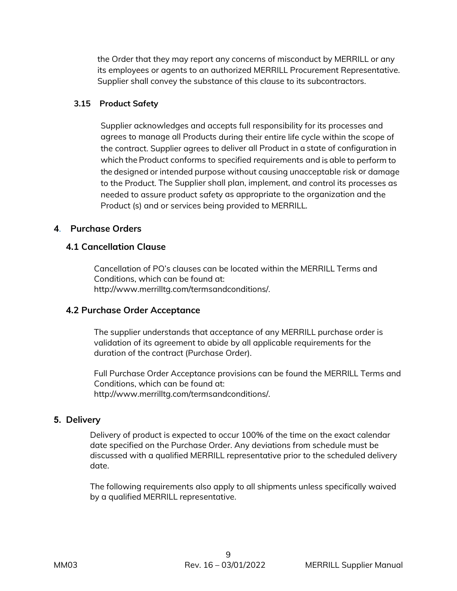the Order that they may report any concerns of misconduct by MERRILL or any its employees or agents to an authorized MERRILL Procurement Representative. Supplier shall convey the substance of this clause to its subcontractors.

#### **3.15 Product Safety**

Supplier acknowledges and accepts full responsibility for its processes and agrees to manage all Products during their entire life cycle within the scope of the contract. Supplier agrees to deliver all Product in a state of configuration in which the Product conforms to specified requirements and is able to perform to the designed or intended purpose without causing unacceptable risk or damage to the Product. The Supplier shall plan, implement, and control its processes as needed to assure product safety as appropriate to the organization and the Product (s) and or services being provided to MERRILL*.* 

#### **4***.* **Purchase Orders**

# **4.1 Cancellation Clause**

Cancellation of PO's clauses can be located within the MERRILL Terms and Conditions, which can be found at: http://www.merrilltg.com/termsandconditions/.

#### **4.2 Purchase Order Acceptance**

The supplier understands that acceptance of any MERRILL purchase order is validation of its agreement to abide by all applicable requirements for the duration of the contract (Purchase Order).

Full Purchase Order Acceptance provisions can be found the MERRILL Terms and Conditions, which can be found at: http://www.merrilltg.com/termsandconditions/.

#### **5. Delivery**

Delivery of product is expected to occur 100% of the time on the exact calendar date specified on the Purchase Order. Any deviations from schedule must be discussed with a qualified MERRILL representative prior to the scheduled delivery date.

The following requirements also apply to all shipments unless specifically waived by a qualified MERRILL representative.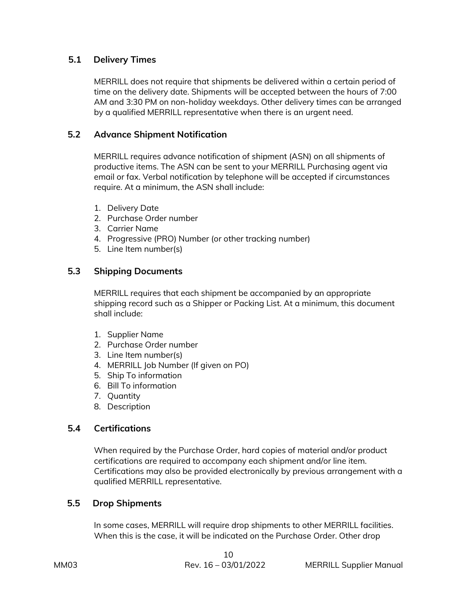# **5.1 Delivery Times**

MERRILL does not require that shipments be delivered within a certain period of time on the delivery date. Shipments will be accepted between the hours of 7:00 AM and 3:30 PM on non-holiday weekdays. Other delivery times can be arranged by a qualified MERRILL representative when there is an urgent need.

# **5.2 Advance Shipment Notification**

MERRILL requires advance notification of shipment (ASN) on all shipments of productive items. The ASN can be sent to your MERRILL Purchasing agent via email or fax. Verbal notification by telephone will be accepted if circumstances require. At a minimum, the ASN shall include:

- 1. Delivery Date
- 2. Purchase Order number
- 3. Carrier Name
- 4. Progressive (PRO) Number (or other tracking number)
- 5. Line Item number(s)

# **5.3 Shipping Documents**

MERRILL requires that each shipment be accompanied by an appropriate shipping record such as a Shipper or Packing List. At a minimum, this document shall include:

- 1. Supplier Name
- 2. Purchase Order number
- 3. Line Item number(s)
- 4. MERRILL Job Number (If given on PO)
- 5. Ship To information
- 6. Bill To information
- 7. Quantity
- 8. Description

#### **5.4 Certifications**

When required by the Purchase Order, hard copies of material and/or product certifications are required to accompany each shipment and/or line item. Certifications may also be provided electronically by previous arrangement with a qualified MERRILL representative.

#### **5.5 Drop Shipments**

In some cases, MERRILL will require drop shipments to other MERRILL facilities. When this is the case, it will be indicated on the Purchase Order. Other drop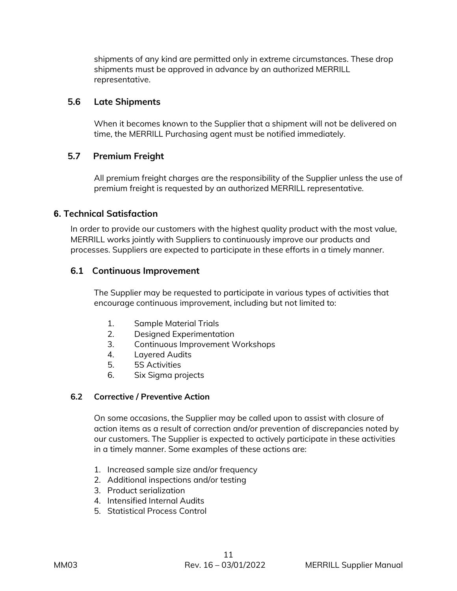shipments of any kind are permitted only in extreme circumstances. These drop shipments must be approved in advance by an authorized MERRILL representative.

#### **5.6 Late Shipments**

When it becomes known to the Supplier that a shipment will not be delivered on time, the MERRILL Purchasing agent must be notified immediately.

# **5.7 Premium Freight**

All premium freight charges are the responsibility of the Supplier unless the use of premium freight is requested by an authorized MERRILL representative.

# **6. Technical Satisfaction**

In order to provide our customers with the highest quality product with the most value, MERRILL works jointly with Suppliers to continuously improve our products and processes. Suppliers are expected to participate in these efforts in a timely manner.

# **6.1 Continuous Improvement**

The Supplier may be requested to participate in various types of activities that encourage continuous improvement, including but not limited to:

- 1. Sample Material Trials
- 2. Designed Experimentation
- 3. Continuous Improvement Workshops
- 4. Layered Audits
- 5. 5S Activities
- 6. Six Sigma projects

#### **6.2 Corrective / Preventive Action**

On some occasions, the Supplier may be called upon to assist with closure of action items as a result of correction and/or prevention of discrepancies noted by our customers. The Supplier is expected to actively participate in these activities in a timely manner. Some examples of these actions are:

- 1. Increased sample size and/or frequency
- 2. Additional inspections and/or testing
- 3. Product serialization
- 4. Intensified Internal Audits
- 5. Statistical Process Control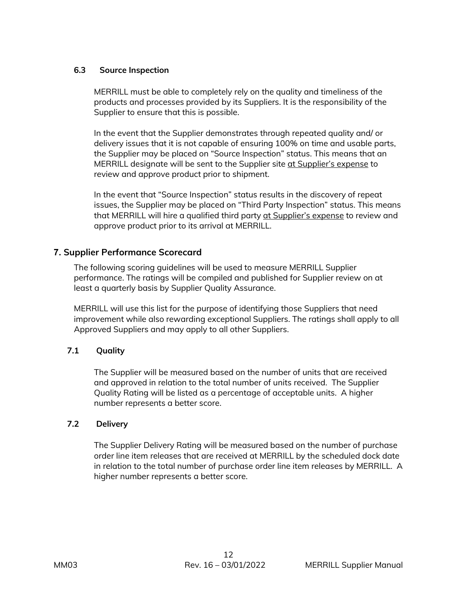#### **6.3 Source Inspection**

MERRILL must be able to completely rely on the quality and timeliness of the products and processes provided by its Suppliers. It is the responsibility of the Supplier to ensure that this is possible.

In the event that the Supplier demonstrates through repeated quality and/ or delivery issues that it is not capable of ensuring 100% on time and usable parts, the Supplier may be placed on "Source Inspection" status. This means that an MERRILL designate will be sent to the Supplier site at Supplier's expense to review and approve product prior to shipment.

In the event that "Source Inspection" status results in the discovery of repeat issues, the Supplier may be placed on "Third Party Inspection" status. This means that MERRILL will hire a qualified third party at Supplier's expense to review and approve product prior to its arrival at MERRILL.

# **7. Supplier Performance Scorecard**

The following scoring guidelines will be used to measure MERRILL Supplier performance. The ratings will be compiled and published for Supplier review on at least a quarterly basis by Supplier Quality Assurance.

MERRILL will use this list for the purpose of identifying those Suppliers that need improvement while also rewarding exceptional Suppliers. The ratings shall apply to all Approved Suppliers and may apply to all other Suppliers.

#### **7.1 Quality**

The Supplier will be measured based on the number of units that are received and approved in relation to the total number of units received. The Supplier Quality Rating will be listed as a percentage of acceptable units. A higher number represents a better score.

#### **7.2 Delivery**

The Supplier Delivery Rating will be measured based on the number of purchase order line item releases that are received at MERRILL by the scheduled dock date in relation to the total number of purchase order line item releases by MERRILL. A higher number represents a better score.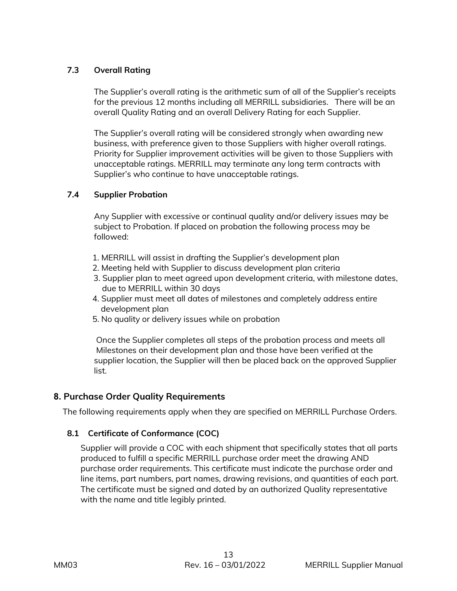# **7.3 Overall Rating**

The Supplier's overall rating is the arithmetic sum of all of the Supplier's receipts for the previous 12 months including all MERRILL subsidiaries. There will be an overall Quality Rating and an overall Delivery Rating for each Supplier.

The Supplier's overall rating will be considered strongly when awarding new business, with preference given to those Suppliers with higher overall ratings. Priority for Supplier improvement activities will be given to those Suppliers with unacceptable ratings. MERRILL may terminate any long term contracts with Supplier's who continue to have unacceptable ratings.

#### **7.4 Supplier Probation**

Any Supplier with excessive or continual quality and/or delivery issues may be subject to Probation. If placed on probation the following process may be followed:

- 1. MERRILL will assist in drafting the Supplier's development plan
- 2. Meeting held with Supplier to discuss development plan criteria
- 3. Supplier plan to meet agreed upon development criteria, with milestone dates, due to MERRILL within 30 days
- 4. Supplier must meet all dates of milestones and completely address entire development plan
- 5. No quality or delivery issues while on probation

Once the Supplier completes all steps of the probation process and meets all Milestones on their development plan and those have been verified at the supplier location, the Supplier will then be placed back on the approved Supplier list.

# **8. Purchase Order Quality Requirements**

The following requirements apply when they are specified on MERRILL Purchase Orders.

#### **8.1 Certificate of Conformance (COC)**

Supplier will provide a COC with each shipment that specifically states that all parts produced to fulfill a specific MERRILL purchase order meet the drawing AND purchase order requirements. This certificate must indicate the purchase order and line items, part numbers, part names, drawing revisions, and quantities of each part. The certificate must be signed and dated by an authorized Quality representative with the name and title legibly printed.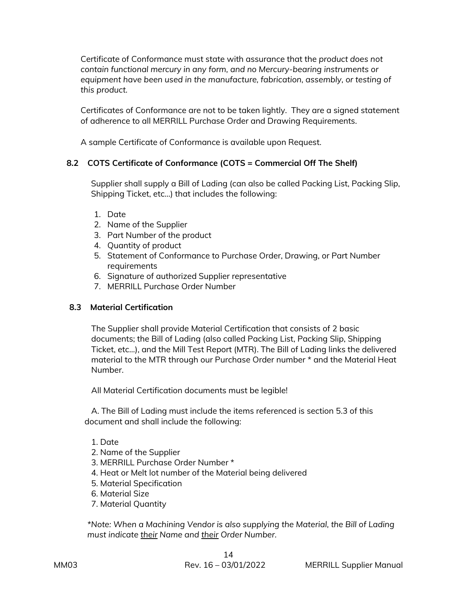Certificate of Conformance must state with assurance that the *product does not contain functional mercury in any form, and no Mercury-bearing instruments or*  equipment have been used in the manufacture, fabrication, assembly, or testing of *this product.*

Certificates of Conformance are not to be taken lightly. They are a signed statement of adherence to all MERRILL Purchase Order and Drawing Requirements.

A sample Certificate of Conformance is available upon Request.

#### **8.2 COTS Certificate of Conformance (COTS = Commercial Off The Shelf)**

 Supplier shall supply a Bill of Lading (can also be called Packing List, Packing Slip, Shipping Ticket, etc…) that includes the following:

- 1. Date
- 2. Name of the Supplier
- 3. Part Number of the product
- 4. Quantity of product
- 5. Statement of Conformance to Purchase Order, Drawing, or Part Number requirements
- 6. Signature of authorized Supplier representative
- 7. MERRILL Purchase Order Number

#### **8.3 Material Certification**

The Supplier shall provide Material Certification that consists of 2 basic documents; the Bill of Lading (also called Packing List, Packing Slip, Shipping Ticket, etc…), and the Mill Test Report (MTR). The Bill of Lading links the delivered material to the MTR through our Purchase Order number \* and the Material Heat Number.

All Material Certification documents must be legible!

A. The Bill of Lading must include the items referenced is section 5.3 of this document and shall include the following:

- 1. Date
- 2. Name of the Supplier
- 3. MERRILL Purchase Order Number \*
- 4. Heat or Melt lot number of the Material being delivered
- 5. Material Specification
- 6. Material Size
- 7. Material Quantity

*\*Note: When a Machining Vendor is also supplying the Material, the Bill of Lading must indicate their Name and their Order Number.*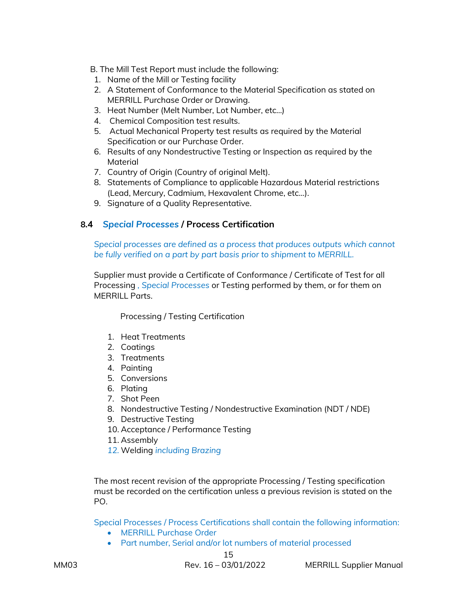- B. The Mill Test Report must include the following:
- 1. Name of the Mill or Testing facility
- 2. A Statement of Conformance to the Material Specification as stated on MERRILL Purchase Order or Drawing.
- 3. Heat Number (Melt Number, Lot Number, etc…)
- 4. Chemical Composition test results.
- 5. Actual Mechanical Property test results as required by the Material Specification or our Purchase Order.
- 6. Results of any Nondestructive Testing or Inspection as required by the Material
- 7. Country of Origin (Country of original Melt).
- 8. Statements of Compliance to applicable Hazardous Material restrictions (Lead, Mercury, Cadmium, Hexavalent Chrome, etc…).
- 9. Signature of a Quality Representative.

#### **8.4** *Special Processes* **/ Process Certification**

*Special processes are defined as a process that produces outputs which cannot be fully verified on a part by part basis prior to shipment to MERRILL.*

Supplier must provide a Certificate of Conformance / Certificate of Test for all Processing *, Special Processes* or Testing performed by them, or for them on MFRRILL Parts.

Processing / Testing Certification

- 1. Heat Treatments
- 2. Coatings
- 3. Treatments
- 4. Painting
- 5. Conversions
- 6. Plating
- 7. Shot Peen
- 8. Nondestructive Testing / Nondestructive Examination (NDT / NDE)
- 9. Destructive Testing
- 10. Acceptance / Performance Testing
- 11. Assembly
- *12.* Welding *including Brazing*

The most recent revision of the appropriate Processing / Testing specification must be recorded on the certification unless a previous revision is stated on the PO.

Special Processes / Process Certifications shall contain the following information:

- MERRILL Purchase Order
- Part number, Serial and/or lot numbers of material processed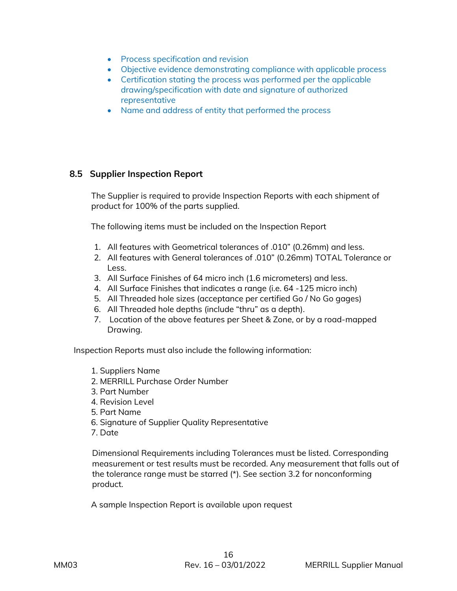- Process specification and revision
- Objective evidence demonstrating compliance with applicable process
- Certification stating the process was performed per the applicable drawing/specification with date and signature of authorized representative
- Name and address of entity that performed the process

#### **8.5 Supplier Inspection Report**

The Supplier is required to provide Inspection Reports with each shipment of product for 100% of the parts supplied.

The following items must be included on the Inspection Report

- 1. All features with Geometrical tolerances of .010" (0.26mm) and less.
- 2. All features with General tolerances of .010" (0.26mm) TOTAL Tolerance or Less.
- 3. All Surface Finishes of 64 micro inch (1.6 micrometers) and less.
- 4. All Surface Finishes that indicates a range (i.e. 64 -125 micro inch)
- 5. All Threaded hole sizes (acceptance per certified Go / No Go gages)
- 6. All Threaded hole depths (include "thru" as a depth).
- 7. Location of the above features per Sheet & Zone, or by a road-mapped Drawing.

Inspection Reports must also include the following information:

- 1. Suppliers Name
- 2. MERRILL Purchase Order Number
- 3. Part Number
- 4. Revision Level
- 5. Part Name
- 6. Signature of Supplier Quality Representative
- 7. Date

Dimensional Requirements including Tolerances must be listed. Corresponding measurement or test results must be recorded. Any measurement that falls out of the tolerance range must be starred (\*). See section 3.2 for nonconforming product.

A sample Inspection Report is available upon request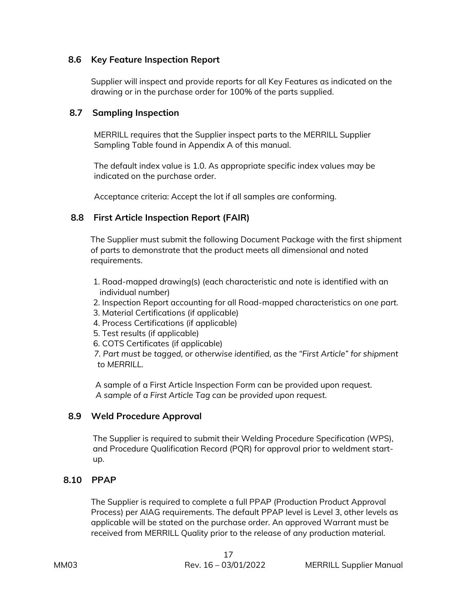#### **8.6 Key Feature Inspection Report**

 Supplier will inspect and provide reports for all Key Features as indicated on the drawing or in the purchase order for 100% of the parts supplied.

#### **8.7 Sampling Inspection**

MERRILL requires that the Supplier inspect parts to the MERRILL Supplier Sampling Table found in Appendix A of this manual.

The default index value is 1.0. As appropriate specific index values may be indicated on the purchase order.

Acceptance criteria: Accept the lot if all samples are conforming.

# **8.8 First Article Inspection Report (FAIR)**

The Supplier must submit the following Document Package with the first shipment of parts to demonstrate that the product meets all dimensional and noted requirements.

- 1. Road-mapped drawing(s) (each characteristic and note is identified with an individual number)
- 2. Inspection Report accounting for all Road-mapped characteristics *on one part.*
- 3. Material Certifications (if applicable)
- 4. Process Certifications (if applicable)
- 5. Test results (if applicable)
- 6. COTS Certificates (if applicable)

*7. Part must be tagged, or otherwise identified, as the "First Article" for shipment to MERRILL.*

 A sample of a First Article Inspection Form can be provided upon request. *A sample of a First Article Tag can be provided upon request.*

#### **8.9 Weld Procedure Approval**

The Supplier is required to submit their Welding Procedure Specification (WPS), and Procedure Qualification Record (PQR) for approval prior to weldment startup.

#### **8.10 PPAP**

 The Supplier is required to complete a full PPAP (Production Product Approval Process) per AIAG requirements. The default PPAP level is Level 3, other levels as applicable will be stated on the purchase order. An approved Warrant must be received from MERRILL Quality prior to the release of any production material.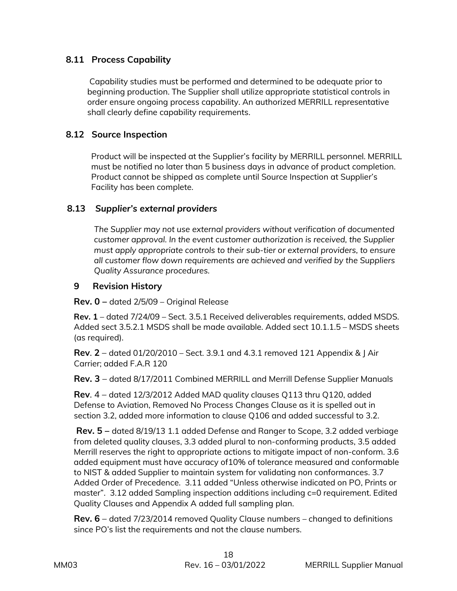# **8.11 Process Capability**

Capability studies must be performed and determined to be adequate prior to beginning production. The Supplier shall utilize appropriate statistical controls in order ensure ongoing process capability. An authorized MERRILL representative shall clearly define capability requirements.

# **8.12 Source Inspection**

Product will be inspected at the Supplier's facility by MERRILL personnel. MERRILL must be notified no later than 5 business days in advance of product completion. Product cannot be shipped as complete until Source Inspection at Supplier's Facility has been complete.

# **8.13** *Supplier's external providers*

*The Supplier may not use external providers without verification of documented customer approval. In the event customer authorization is received, the Supplier must apply appropriate controls to their sub-tier or external providers, to ensure all customer flow down requirements are achieved and verified by the Suppliers Quality Assurance procedures.* 

# **9 Revision History**

**Rev. 0 –** dated 2/5/09 – Original Release

**Rev. 1** – dated 7/24/09 – Sect. 3.5.1 Received deliverables requirements, added MSDS. Added sect 3.5.2.1 MSDS shall be made available. Added sect 10.1.1.5 – MSDS sheets (as required).

**Rev**. **2** – dated 01/20/2010 – Sect. 3.9.1 and 4.3.1 removed 121 Appendix & J Air Carrier; added F.A.R 120

**Rev. 3** – dated 8/17/2011 Combined MERRILL and Merrill Defense Supplier Manuals

**Rev**. 4 – dated 12/3/2012 Added MAD quality clauses Q113 thru Q120, added Defense to Aviation, Removed No Process Changes Clause as it is spelled out in section 3.2, added more information to clause Q106 and added successful to 3.2.

**Rev. 5 –** dated 8/19/13 1.1 added Defense and Ranger to Scope, 3.2 added verbiage from deleted quality clauses, 3.3 added plural to non-conforming products, 3.5 added Merrill reserves the right to appropriate actions to mitigate impact of non-conform. 3.6 added equipment must have accuracy of10% of tolerance measured and conformable to NIST & added Supplier to maintain system for validating non conformances. 3.7 Added Order of Precedence. 3.11 added "Unless otherwise indicated on PO, Prints or master". 3.12 added Sampling inspection additions including c=0 requirement. Edited Quality Clauses and Appendix A added full sampling plan.

**Rev. 6** – dated 7/23/2014 removed Quality Clause numbers – changed to definitions since PO's list the requirements and not the clause numbers.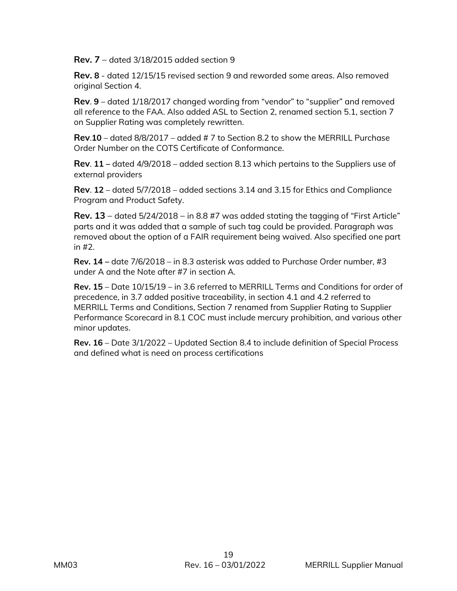**Rev. 7** – dated 3/18/2015 added section 9

**Rev. 8** - dated 12/15/15 revised section 9 and reworded some areas. Also removed original Section 4.

**Rev**. **9** – dated 1/18/2017 changed wording from "vendor" to "supplier" and removed all reference to the FAA. Also added ASL to Section 2, renamed section 5.1, section 7 on Supplier Rating was completely rewritten.

**Rev**.**10** – dated 8/8/2017 – added # 7 to Section 8.2 to show the MERRILL Purchase Order Number on the COTS Certificate of Conformance.

**Rev**. **11 –** dated 4/9/2018 – added section 8.13 which pertains to the Suppliers use of external providers

**Rev**. **12** – dated 5/7/2018 – added sections 3.14 and 3.15 for Ethics and Compliance Program and Product Safety.

**Rev. 13** – dated 5/24/2018 – in 8.8 #7 was added stating the tagging of "First Article" parts and it was added that a sample of such tag could be provided. Paragraph was removed about the option of a FAIR requirement being waived. Also specified one part in #2.

**Rev. 14 –** date 7/6/2018 – in 8.3 asterisk was added to Purchase Order number, #3 under A and the Note after #7 in section A.

**Rev. 15** – Date 10/15/19 – in 3.6 referred to MERRILL Terms and Conditions for order of precedence, in 3.7 added positive traceability, in section 4.1 and 4.2 referred to MERRILL Terms and Conditions, Section 7 renamed from Supplier Rating to Supplier Performance Scorecard in 8.1 COC must include mercury prohibition, and various other minor updates.

**Rev. 16** – Date 3/1/2022 – Updated Section 8.4 to include definition of Special Process and defined what is need on process certifications